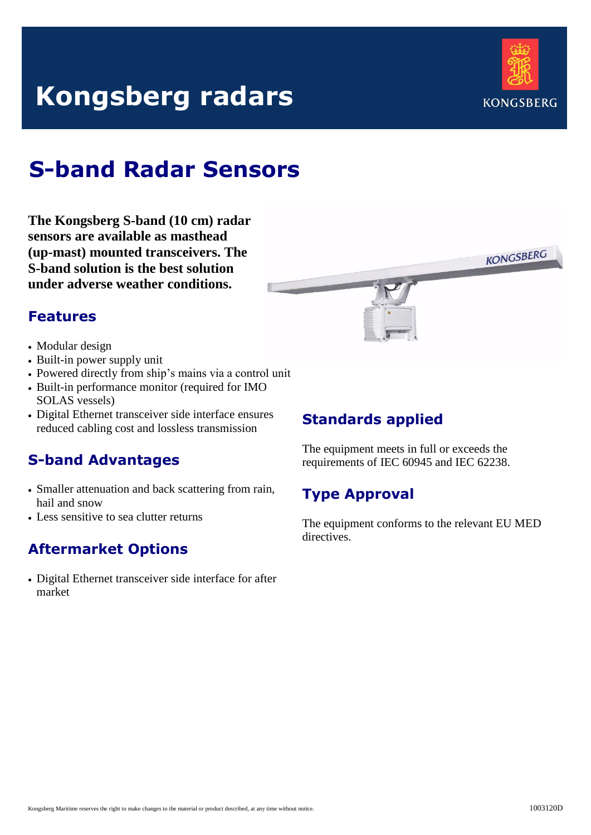# **Kongsberg radars**



**KONGSBERG** 

## **S-band Radar Sensors**

**The Kongsberg S-band (10 cm) radar sensors are available as masthead (up-mast) mounted transceivers. The S-band solution is the best solution under adverse weather conditions.**

### **Features**

- Modular design
- Built-in power supply unit
- Powered directly from ship's mains via a control unit
- Built-in performance monitor (required for IMO SOLAS vessels)
- Digital Ethernet transceiver side interface ensures reduced cabling cost and lossless transmission

## **S-band Advantages**

- Smaller attenuation and back scattering from rain, hail and snow
- Less sensitive to sea clutter returns

## **Aftermarket Options**

 Digital Ethernet transceiver side interface for after market



## **Standards applied**

The equipment meets in full or exceeds the requirements of IEC 60945 and IEC 62238.

## **Type Approval**

The equipment conforms to the relevant EU MED directives.